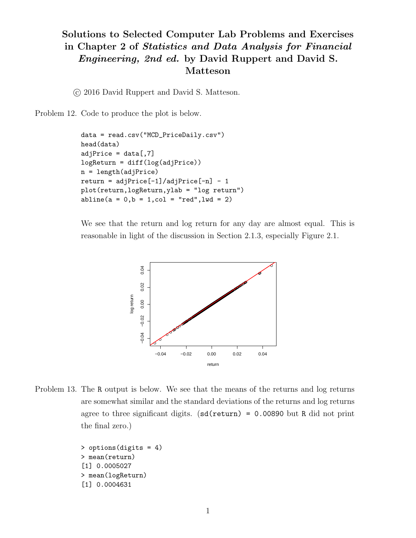## Solutions to Selected Computer Lab Problems and Exercises in Chapter 2 of Statistics and Data Analysis for Financial Engineering, 2nd ed. by David Ruppert and David S. Matteson

c 2016 David Ruppert and David S. Matteson.

Problem 12. Code to produce the plot is below.

```
data = read.csv("MCD_PriceDaily.csv")
head(data)
adjPrice = data[, 7]logReturn = diff(log(adjPrice))
n = length(adjPrice)
return = adjPrice[-1]/adjPrice[-n] - 1plot(return,logReturn,ylab = "log return")
abline(a = 0, b = 1, col = "red", lwd = 2)
```
We see that the return and log return for any day are almost equal. This is reasonable in light of the discussion in Section 2.1.3, especially Figure 2.1.



Problem 13. The R output is below. We see that the means of the returns and log returns are somewhat similar and the standard deviations of the returns and log returns agree to three significant digits.  $(\text{sd}(\text{return}) = 0.00890 \text{ but } R \text{ did not print})$ the final zero.)

```
> options(digits = 4)
> mean(return)
[1] 0.0005027
> mean(logReturn)
[1] 0.0004631
```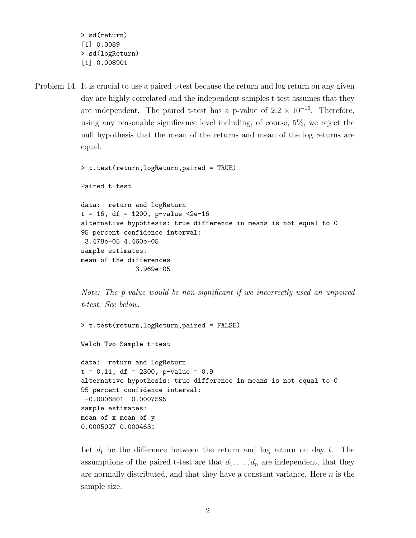> sd(return) [1] 0.0089 > sd(logReturn) [1] 0.008901

Problem 14. It is crucial to use a paired t-test because the return and log return on any given day are highly correlated and the independent samples t-test assumes that they are independent. The paired t-test has a p-value of  $2.2 \times 10^{-16}$ . Therefore, using any reasonable significance level including, of course, 5%, we reject the null hypothesis that the mean of the returns and mean of the log returns are equal.

> t.test(return,logReturn,paired = TRUE)

Paired t-test

```
data: return and logReturn
t = 16, df = 1200, p-value <2e-16
alternative hypothesis: true difference in means is not equal to 0
95 percent confidence interval:
3.478e-05 4.460e-05
sample estimates:
mean of the differences
              3.969e-05
```
Note: The p-value would be non-significant if we incorrectly used an unpaired t-test. See below.

```
> t.test(return,logReturn,paired = FALSE)
Welch Two Sample t-test
data: return and logReturn
t = 0.11, df = 2300, p-value = 0.9
alternative hypothesis: true difference in means is not equal to 0
95 percent confidence interval:
-0.0006801 0.0007595
sample estimates:
mean of x mean of y
0.0005027 0.0004631
```
Let  $d_t$  be the difference between the return and log return on day t. The assumptions of the paired t-test are that  $d_1, \ldots, d_n$  are independent, that they are normally distributed, and that they have a constant variance. Here  $n$  is the sample size.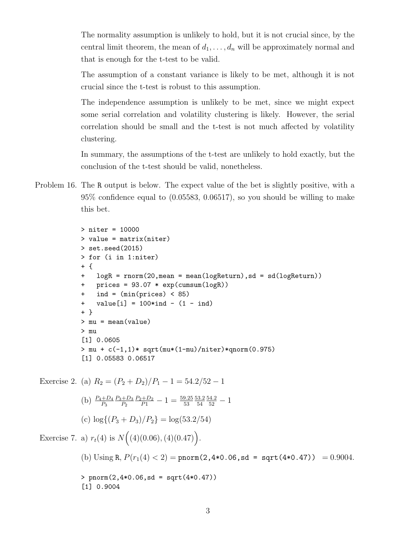The normality assumption is unlikely to hold, but it is not crucial since, by the central limit theorem, the mean of  $d_1, \ldots, d_n$  will be approximately normal and that is enough for the t-test to be valid.

The assumption of a constant variance is likely to be met, although it is not crucial since the t-test is robust to this assumption.

The independence assumption is unlikely to be met, since we might expect some serial correlation and volatility clustering is likely. However, the serial correlation should be small and the t-test is not much affected by volatility clustering.

In summary, the assumptions of the t-test are unlikely to hold exactly, but the conclusion of the t-test should be valid, nonetheless.

Problem 16. The R output is below. The expect value of the bet is slightly positive, with a 95% confidence equal to (0.05583, 0.06517), so you should be willing to make this bet.

```
> niter = 10000
> value = matrix(niter)
> set.seed(2015)
> for (i in 1:niter)
+ {
   logR = rnorm(20,mean = mean(logReturn), sd = sd(logReturn))+ prices = 93.07 * exp(cumsum(logR))
+ ind = (min(prices) < 85)
+ value[i] = 100*ind - (1 - ind)+ }
> mu = mean(value)
> mu
[1] 0.0605
> mu + c(-1,1)* sqrt(mu*(1-mu)/niter)*qnorm(0.975)
[1] 0.05583 0.06517
```
Exercise 2. (a)  $R_2 = (P_2 + D_2)/P_1 - 1 = 54.2/52 - 1$ (b)  $\frac{P_4+D_4}{P_3}$  $P_3 + D_3$  $P<sub>2</sub>$  $\frac{P_2+D_2}{P_1}-1=\frac{59.25}{53}$ 53.2 54  $\frac{54.2}{52} - 1$ (c)  $\log\{(P_3 + D_3)/P_2\} = \log(53.2/54)$ Exercise 7. a)  $r_t(4)$  is  $N((4)(0.06), (4)(0.47))$ . (b) Using R,  $P(r_1(4) < 2) =$  pnorm(2,4\*0.06,sd = sqrt(4\*0.47)) = 0.9004.  $>$  pnorm $(2, 4*0.06, sd = sqrt(4*0.47))$ [1] 0.9004